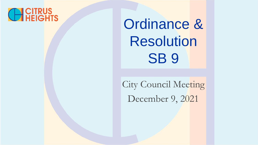### **CH CITRUS**<br>
HEIGHTS

Ordinance & Resolution **SB 9** 

City Council Meeting December 9, 2021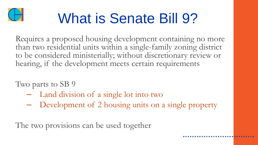

## What is Senate Bill 9?

Requires a proposed housing development containing no more than two residential units within a single-family zoning district to be considered ministerially; without discretionary review or hearing, if the development meets certain requirements

Two parts to SB 9

- Land division of a single lot into two
- Development of 2 housing units on a single property

The two provisions can be used together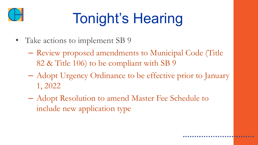

# Tonight's Hearing

- Take actions to implement SB 9
	- Review proposed amendments to Municipal Code (Title 82 & Title 106) to be compliant with SB 9
	- Adopt Urgency Ordinance to be effective prior to January 1, 2022
	- Adopt Resolution to amend Master Fee Schedule to include new application type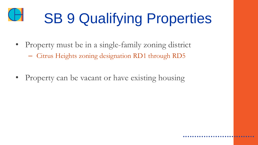

# **SB 9 Qualifying Properties**

- Property must be in a single-family zoning district
	- Citrus Heights zoning designation RD1 through RD5
- Property can be vacant or have existing housing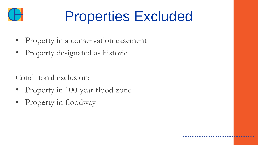

### Properties Excluded

- Property in a conservation easement
- Property designated as historic

Conditional exclusion:

- Property in 100-year flood zone
- Property in floodway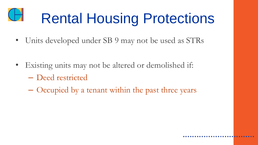# Rental Housing Protections

• Units developed under SB 9 may not be used as STRs

- Existing units may not be altered or demolished if:
	- Deed restricted
	- Occupied by a tenant within the past three years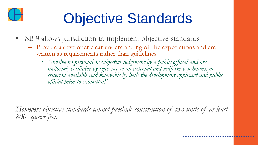

## Objective Standards

- SB 9 allows jurisdiction to implement objective standards
	- Provide a developer clear understanding of the expectations and are written as requirements rather than guidelines
		- "*involve no personal or subjective judgement by a public official and are uniformly verifiable by reference to an external and uniform benchmark or criterion available and knowable by both the development applicant and public official prior to submittal*."

*However: objective standards cannot preclude construction of two units of at least 800 square feet.*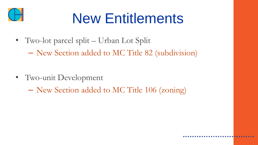

### New Entitlements

- Two-lot parcel split Urban Lot Split
	- New Section added to MC Title 82 (subdivision)

- Two-unit Development
	- New Section added to MC Title 106 (zoning)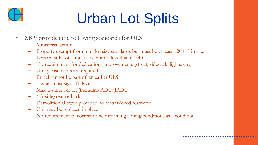

# Urban Lot Splits

- SB 9 provides the following standards for ULS
	- Ministerial action
	- Property exempt from min. lot size standards but must be at least 1200 sf in size
	- Lots must be of similar size but no less than 60/40
	- No requirement for dedication/improvements (street, sidewalk, lights, etc.)
	- Utility easements are required
	- Parcel cannot be part of an earlier ULS
	- Owner must sign affidavit
	- Max. 2 units per lot (including ADU/JADU)
	- 4 ft side/rear setbacks
	- Demolition allowed provided no tenant/deed restricted
	- Unit may be replaced in place
	- No requirement to correct nonconforming zoning conditions as a condition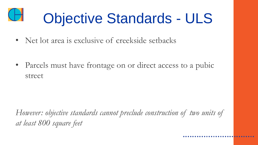# Objective Standards - ULS

• Net lot area is exclusive of creekside setbacks

Parcels must have frontage on or direct access to a pubic street

*However: objective standards cannot preclude construction of two units of at least 800 square feet*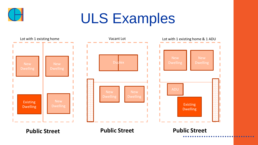

#### ULS Examples

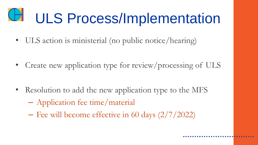# ULS Process/Implementation

• ULS action is ministerial (no public notice/hearing)

• Create new application type for review/processing of ULS

- Resolution to add the new application type to the MFS – Application fee time/material
	- Fee will become effective in 60 days (2/7/2022)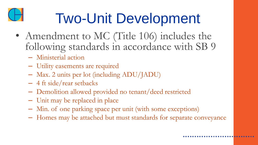

## Two-Unit Development

- Amendment to MC (Title 106) includes the following standards in accordance with SB 9
	- Ministerial action
	- Utility easements are required
	- Max. 2 units per lot (including ADU/JADU)
	- 4 ft side/rear setbacks
	- Demolition allowed provided no tenant/deed restricted
	- Unit may be replaced in place
	- Min. of one parking space per unit (with some exceptions)
	- Homes may be attached but must standards for separate conveyance

 $0.00000000$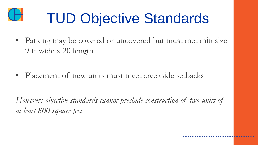

## TUD Objective Standards

• Parking may be covered or uncovered but must met min size 9 ft wide x 20 length

• Placement of new units must meet creekside setbacks

*However: objective standards cannot preclude construction of two units of at least 800 square feet*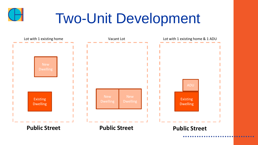

### Two-Unit Development

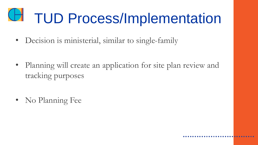# TUD Process/Implementation

• Decision is ministerial, similar to single-family

Planning will create an application for site plan review and tracking purposes

• No Planning Fee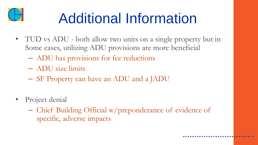

## Additional Information

- TUD vs ADU both allow two units on a single property but in Some cases, utilizing ADU provisions are more beneficial
	- ADU has provisions for fee reductions
	- ADU size limits
	- SF Property can have an ADU and a JADU
- Project denial
	- Chief Building Official w/preponderance of evidence of specific, adverse impacts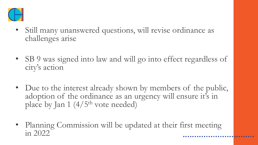

- Still many unanswered questions, will revise ordinance as challenges arise
- SB 9 was signed into law and will go into effect regardless of city's action
- Due to the interest already shown by members of the public, adoption of the ordinance as an urgency will ensure it's in place by Jan 1  $(4/5<sup>th</sup>$  vote needed)
- Planning Commission will be updated at their first meeting in 2022